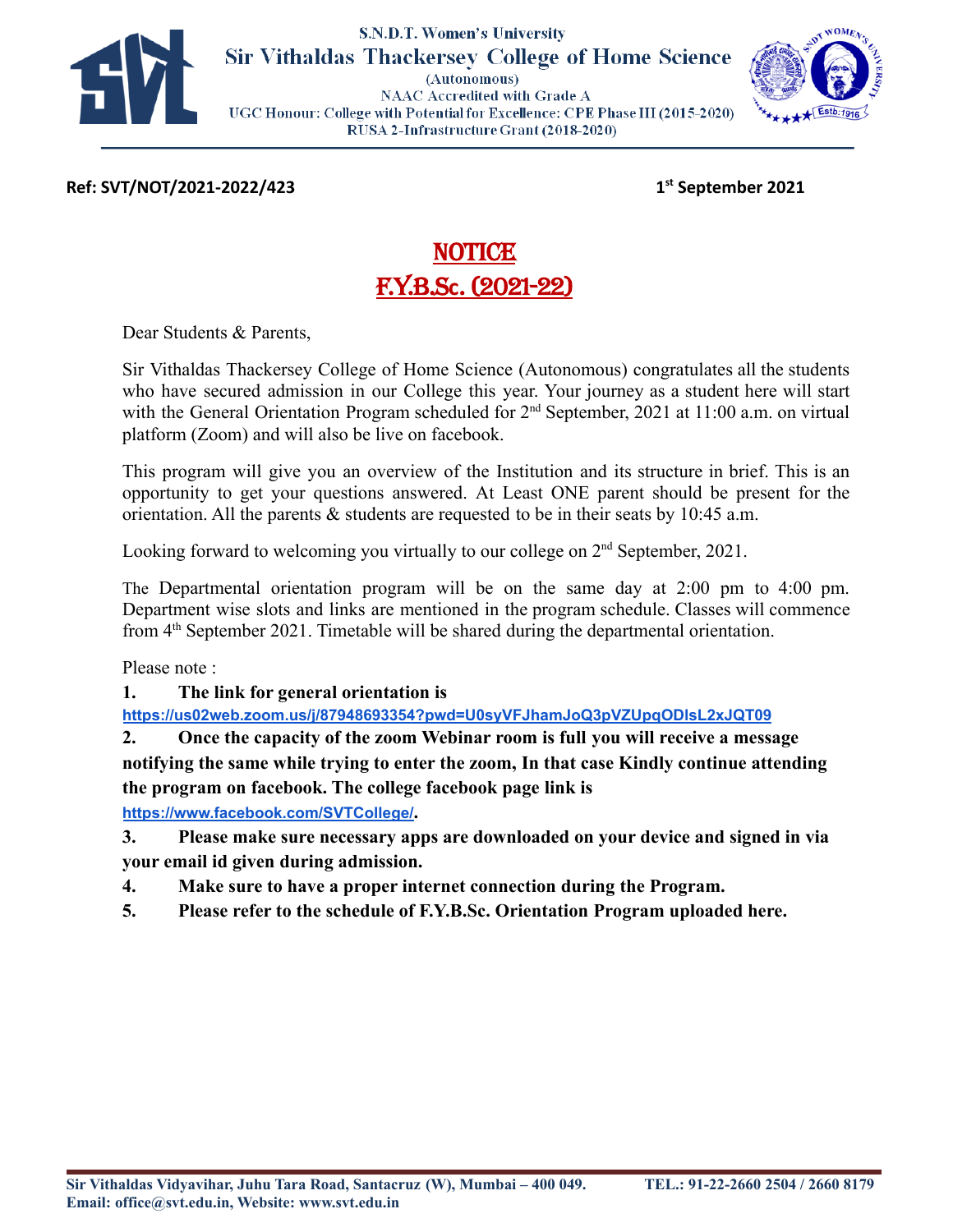

#### **S.N.D.T. Women's University Sir Vithaldas Thackersey College of Home Science** (Autonomous) **NAAC Accredited with Grade A**

UGC Honour: College with Potential for Excellence: CPE Phase III (2015-2020) RUSA 2-Infrastructure Grant (2018-2020)



**Ref: SVT/NOT/2021-2022/423 1st September 2021**

# NOTICE<sup>S</sup> F.Y.B.S**c**. (2021-22)

Dear Students & Parents,

Sir Vithaldas Thackersey College of Home Science (Autonomous) congratulates all the students who have secured admission in our College this year. Your journey as a student here will start with the General Orientation Program scheduled for 2<sup>nd</sup> September, 2021 at 11:00 a.m. on virtual platform (Zoom) and will also be live on facebook.

This program will give you an overview of the Institution and its structure in brief. This is an opportunity to get your questions answered. At Least ONE parent should be present for the orientation. All the parents  $\&$  students are requested to be in their seats by 10:45 a.m.

Looking forward to welcoming you virtually to our college on  $2<sup>nd</sup>$  September, 2021.

The Departmental orientation program will be on the same day at 2:00 pm to 4:00 pm. Department wise slots and links are mentioned in the program schedule. Classes will commence from 4<sup>th</sup> September 2021. Timetable will be shared during the departmental orientation.

Please note :

**1. The link for general orientation is**

**<https://us02web.zoom.us/j/87948693354?pwd=U0syVFJhamJoQ3pVZUpqODlsL2xJQT09>**

**2. Once the capacity of the zoom Webinar room is full you will receive a message notifying the same while trying to enter the zoom, In that case Kindly continue attending the program on facebook. The college facebook page link is <https://www.facebook.com/SVTCollege/>.**

**3. Please make sure necessary apps are downloaded on your device and signed in via**

**your email id given during admission.**

- **4. Make sure to have a proper internet connection during the Program.**
- **5. Please refer to the schedule of F.Y.B.Sc. Orientation Program uploaded here.**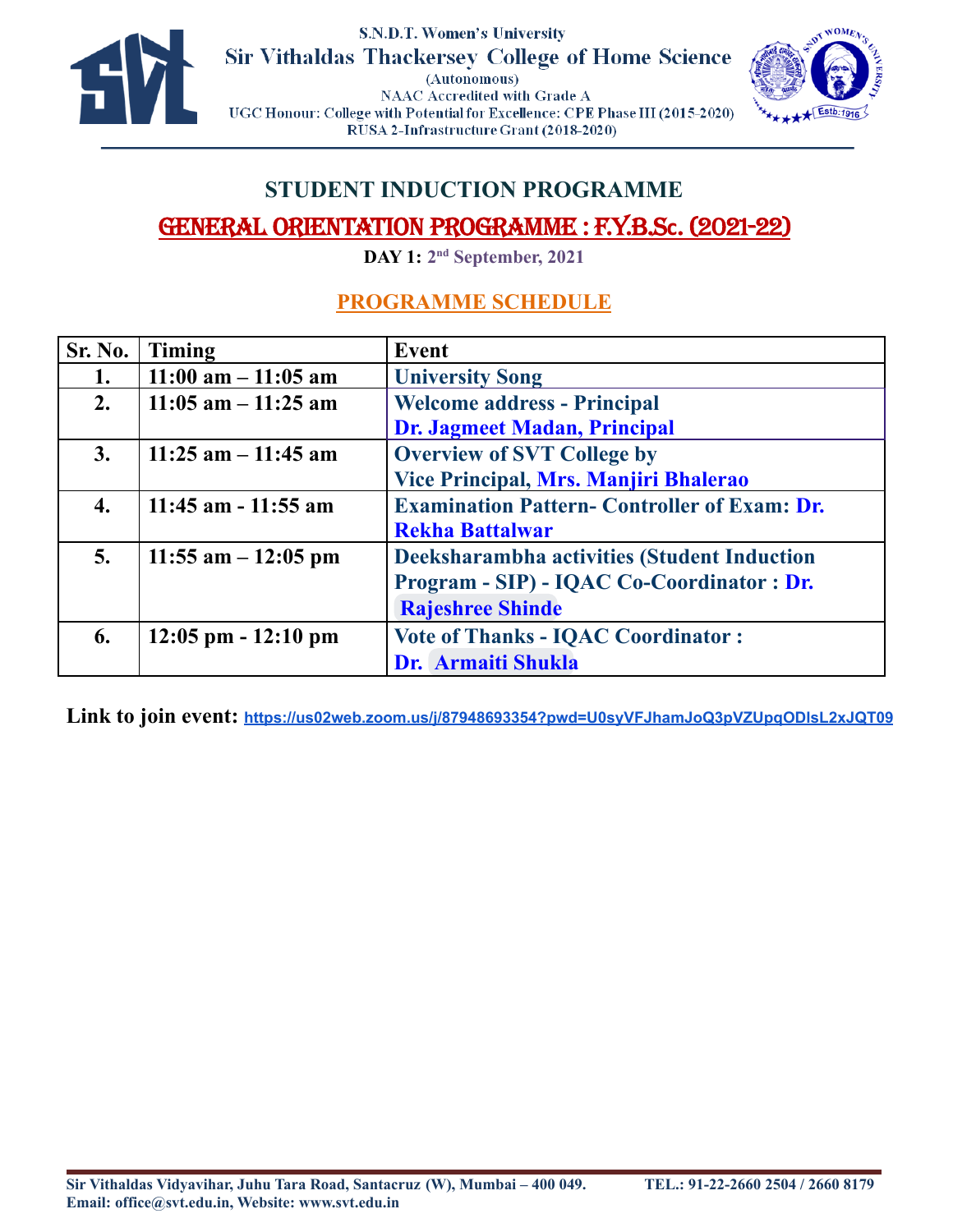



### **STUDENT INDUCTION PROGRAMME**

## GENERAL ORIENTATION PROGRAMME : F.Y.B.S**c**. (2021-22)

**DAY 1: 2 nd September, 2021**

### **PROGRAMME SCHEDULE**

| <b>Sr. No.</b> | <b>Timing</b>          | Event                                               |  |  |
|----------------|------------------------|-----------------------------------------------------|--|--|
|                | $11:00$ am $-11:05$ am | <b>University Song</b>                              |  |  |
| 2.             | $11:05$ am $-11:25$ am | <b>Welcome address - Principal</b>                  |  |  |
|                |                        | <b>Dr. Jagmeet Madan, Principal</b>                 |  |  |
| 3.             | $11:25$ am $-11:45$ am | <b>Overview of SVT College by</b>                   |  |  |
|                |                        | Vice Principal, Mrs. Manjiri Bhalerao               |  |  |
| 4.             | $11:45$ am $-11:55$ am | <b>Examination Pattern- Controller of Exam: Dr.</b> |  |  |
|                |                        | <b>Rekha Battalwar</b>                              |  |  |
| 5.             | 11:55 am $-12:05$ pm   | Deeksharambha activities (Student Induction         |  |  |
|                |                        | Program - SIP) - IQAC Co-Coordinator : Dr.          |  |  |
|                |                        | <b>Rajeshree Shinde</b>                             |  |  |
| 6.             | $12:05$ pm $-12:10$ pm | <b>Vote of Thanks - IQAC Coordinator:</b>           |  |  |
|                |                        | <b>Dr. Armaiti Shukla</b>                           |  |  |

**Link to join event: <https://us02web.zoom.us/j/87948693354?pwd=U0syVFJhamJoQ3pVZUpqODlsL2xJQT09>**